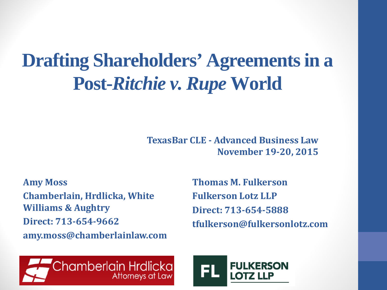#### **Drafting Shareholders' Agreements in a Post-***Ritchie v. Rupe* **World**

**TexasBar CLE - Advanced Business Law November 19-20, 2015**

**Amy Moss Chamberlain, Hrdlicka, White Williams & Aughtry Direct: 713-654-9662 amy.moss@chamberlainlaw.com** **Thomas M. Fulkerson Fulkerson Lotz LLP Direct: 713-654-5888 tfulkerson@fulkersonlotz.com**



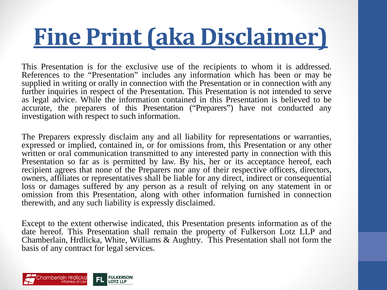# **Fine Print (aka Disclaimer)**

This Presentation is for the exclusive use of the recipients to whom it is addressed. References to the "Presentation" includes any information which has been or may be supplied in writing or orally in connection with the Presentation or in connection with any further inquiries in respect of the Presentation. This Presentation is not intended to serve as legal advice. While the information contained in this Presentation is believed to be accurate, the preparers of this Presentation ("Preparers") have not conducted any investigation with respect to such information.

The Preparers expressly disclaim any and all liability for representations or warranties, expressed or implied, contained in, or for omissions from, this Presentation or any other written or oral communication transmitted to any interested party in connection with this Presentation so far as is permitted by law. By his, her or its acceptance hereof, each recipient agrees that none of the Preparers nor any of their respective officers, directors, owners, affiliates or representatives shall be liable for any direct, indirect or consequential loss or damages suffered by any person as a result of relying on any statement in or omission from this Presentation, along with other information furnished in connection therewith, and any such liability is expressly disclaimed.

Except to the extent otherwise indicated, this Presentation presents information as of the date hereof. This Presentation shall remain the property of Fulkerson Lotz LLP and Chamberlain, Hrdlicka, White, Williams & Aughtry. This Presentation shall not form the basis of any contract for legal services.

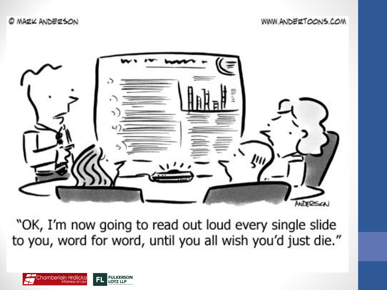WWW.ANDERTOONS.COM



"OK, I'm now going to read out loud every single slide to you, word for word, until you all wish you'd just die."

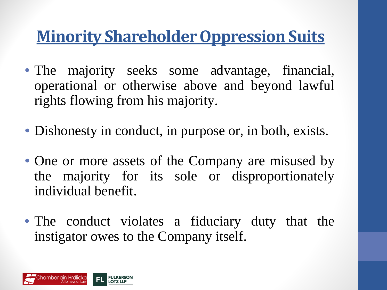#### **Minority Shareholder Oppression Suits**

- The majority seeks some advantage, financial, operational or otherwise above and beyond lawful rights flowing from his majority.
- Dishonesty in conduct, in purpose or, in both, exists.
- One or more assets of the Company are misused by the majority for its sole or disproportionately individual benefit.
- The conduct violates a fiduciary duty that the instigator owes to the Company itself.

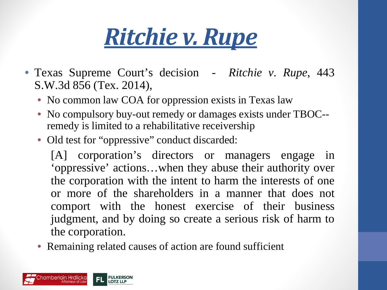## *Ritchie v. Rupe*

- Texas Supreme Court's decision *Ritchie v. Rupe*, 443 S.W.3d 856 (Tex. 2014),
	- No common law COA for oppression exists in Texas law
	- No compulsory buy-out remedy or damages exists under TBOC-remedy is limited to a rehabilitative receivership
	- Old test for "oppressive" conduct discarded:

[A] corporation's directors or managers engage in 'oppressive' actions…when they abuse their authority over the corporation with the intent to harm the interests of one or more of the shareholders in a manner that does not comport with the honest exercise of their business judgment, and by doing so create a serious risk of harm to the corporation.

• Remaining related causes of action are found sufficient

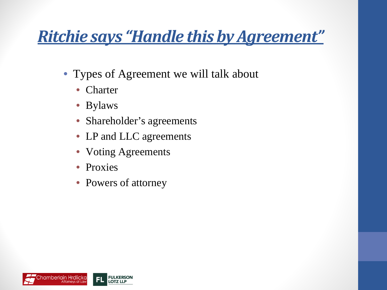#### *Ritchie says "Handle this by Agreement"*

- Types of Agreement we will talk about
	- Charter
	- Bylaws
	- Shareholder's agreements
	- LP and LLC agreements
	- Voting Agreements
	- Proxies
	- Powers of attorney

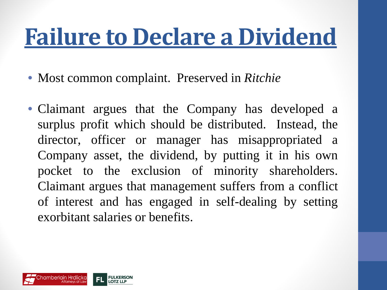## **Failure to Declare a Dividend**

- Most common complaint. Preserved in *Ritchie*
- Claimant argues that the Company has developed a surplus profit which should be distributed. Instead, the director, officer or manager has misappropriated a Company asset, the dividend, by putting it in his own pocket to the exclusion of minority shareholders. Claimant argues that management suffers from a conflict of interest and has engaged in self-dealing by setting exorbitant salaries or benefits.

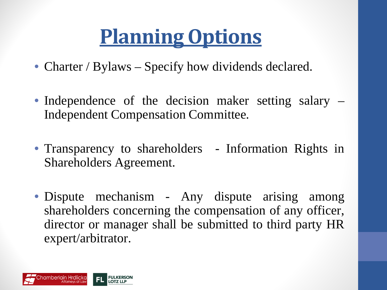### **Planning Options**

- Charter / Bylaws Specify how dividends declared.
- Independence of the decision maker setting salary Independent Compensation Committee.
- Transparency to shareholders Information Rights in Shareholders Agreement.
- Dispute mechanism Any dispute arising among shareholders concerning the compensation of any officer, director or manager shall be submitted to third party HR expert/arbitrator.

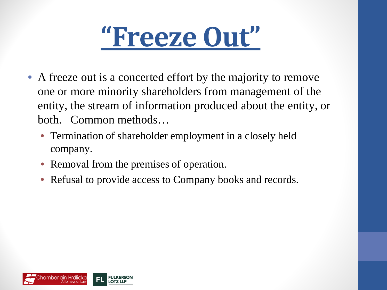

- A freeze out is a concerted effort by the majority to remove one or more minority shareholders from management of the entity, the stream of information produced about the entity, or both. Common methods…
	- Termination of shareholder employment in a closely held company.
	- Removal from the premises of operation.
	- Refusal to provide access to Company books and records.

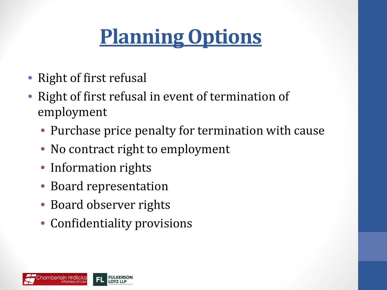### **Planning Options**

- Right of first refusal
- Right of first refusal in event of termination of employment
	- Purchase price penalty for termination with cause
	- No contract right to employment
	- Information rights
	- Board representation
	- Board observer rights
	- Confidentiality provisions

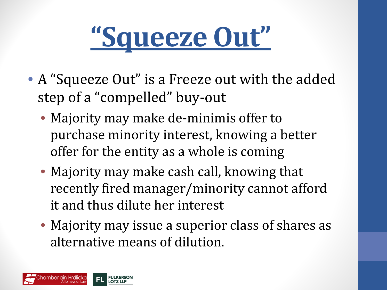

- A "Squeeze Out" is a Freeze out with the added step of a "compelled" buy-out
	- Majority may make de-minimis offer to purchase minority interest, knowing a better offer for the entity as a whole is coming
	- Majority may make cash call, knowing that recently fired manager/minority cannot afford it and thus dilute her interest
	- Majority may issue a superior class of shares as alternative means of dilution.

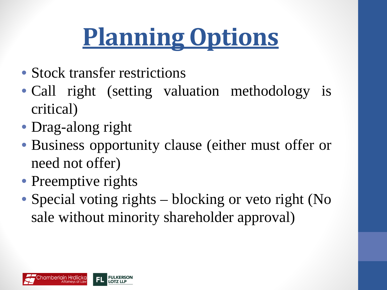# **Planning Options**

- Stock transfer restrictions
- Call right (setting valuation methodology is critical)
- Drag-along right
- Business opportunity clause (either must offer or need not offer)
- Preemptive rights
- Special voting rights blocking or veto right (No sale without minority shareholder approval)

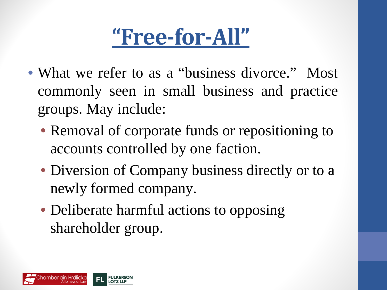#### **"Free-for-All"**

- What we refer to as a "business divorce." Most commonly seen in small business and practice groups. May include:
	- Removal of corporate funds or repositioning to accounts controlled by one faction.
	- Diversion of Company business directly or to a newly formed company.
	- Deliberate harmful actions to opposing shareholder group.

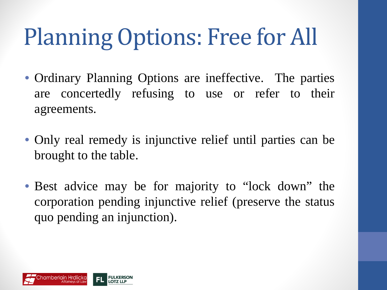# Planning Options: Free for All

- Ordinary Planning Options are ineffective. The parties are concertedly refusing to use or refer to their agreements.
- Only real remedy is injunctive relief until parties can be brought to the table.
- Best advice may be for majority to "lock down" the corporation pending injunctive relief (preserve the status quo pending an injunction).

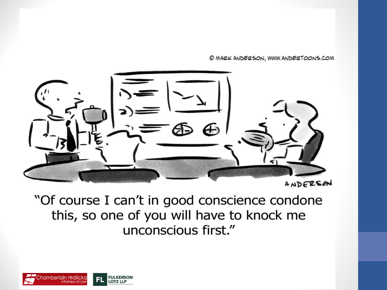© MAZK ANDEZSON, WWW.ANDEZTOONS.COM



"Of course I can't in good conscience condone this, so one of you will have to knock me unconscious first."